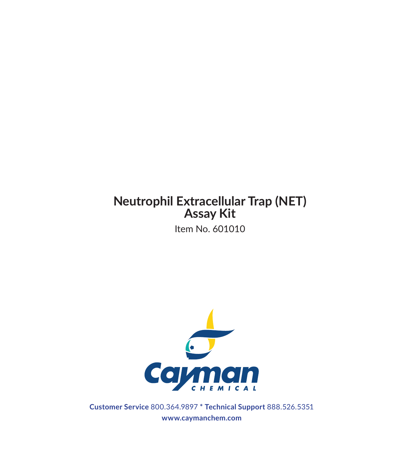### **Neutrophil Extracellular Trap (NET) Assay Kit**

Item No. 601010



**Customer Service** 800.364.9897 **\* Technical Support** 888.526.5351 **www.caymanchem.com**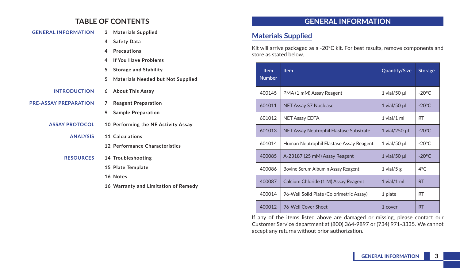## **TABLE OF CONTENTS**

| <b>GENERAL INFORMATION</b>   | 3 | <b>Materials Supplied</b>                |
|------------------------------|---|------------------------------------------|
|                              | 4 | <b>Safety Data</b>                       |
|                              | 4 | <b>Precautions</b>                       |
|                              | 4 | <b>If You Have Problems</b>              |
|                              | 5 | <b>Storage and Stability</b>             |
|                              | 5 | <b>Materials Needed but Not Supplied</b> |
| <b>INTRODUCTION</b>          |   | 6 About This Assay                       |
| <b>PRE-ASSAY PREPARATION</b> | 7 | <b>Reagent Preparation</b>               |
|                              | 9 | <b>Sample Preparation</b>                |
| <b>ASSAY PROTOCOL</b>        |   | 10 Performing the NE Activity Assay      |
| <b>ANALYSIS</b>              |   | 11 Calculations                          |
|                              |   | 12 Performance Characteristics           |
| <b>RESOURCES</b>             |   | 14 Troubleshooting                       |
|                              |   | 15 Plate Template                        |
|                              |   | 16 Notes                                 |
|                              |   | 16 Warranty and Limitation of Remedy     |
|                              |   |                                          |

## **GENERAL INFORMATION**

### **Materials Supplied**

Kit will arrive packaged as a -20°C kit. For best results, remove components and store as stated below.

| <b>Item</b><br><b>Number</b> | <b>Item</b>                              | <b>Quantity/Size</b> | <b>Storage</b>   |
|------------------------------|------------------------------------------|----------------------|------------------|
| 400145                       | PMA (1 mM) Assay Reagent                 | $1$ vial/50 $\mu$    | $-20^{\circ}$ C  |
| 601011                       | <b>NET Assay S7 Nuclease</b>             | 1 vial/50 $\mu$      | $-20^{\circ}$ C. |
| 601012                       | NET Assay EDTA                           | $1$ vial/ $1$ ml     | <b>RT</b>        |
| 601013                       | NET Assay Neutrophil Elastase Substrate  | 1 vial/250 µl        | $-20^{\circ}$ C. |
| 601014                       | Human Neutrophil Elastase Assay Reagent  | $1$ vial/50 $\mu$    | $-20^{\circ}$ C. |
| 400085                       | A-23187 (25 mM) Assay Reagent            | $1$ vial/50 $\mu$    | $-20^{\circ}$ C. |
| 400086                       | Bovine Serum Albumin Assay Reagent       | 1 vial/5 $g$         | $4^{\circ}$ C    |
| 400087                       | Calcium Chloride (1 M) Assay Reagent     | $1$ vial/ $1$ ml     | <b>RT</b>        |
| 400014                       | 96-Well Solid Plate (Colorimetric Assay) | 1 plate              | <b>RT</b>        |
| 400012                       | 96-Well Cover Sheet                      | 1 cover              | <b>RT</b>        |

If any of the items listed above are damaged or missing, please contact our Customer Service department at (800) 364-9897 or (734) 971-3335. We cannot accept any returns without prior authorization.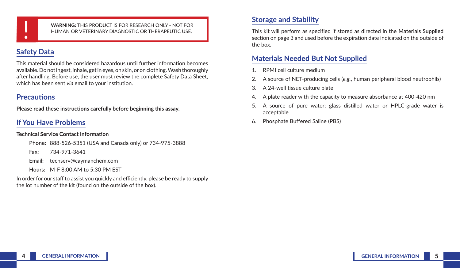

! **WARNING:** THIS PRODUCT IS FOR RESEARCH ONLY - NOT FOR HUMAN OR VETERINARY DIAGNOSTIC OR THERAPEUTIC USE.

## **Safety Data**

This material should be considered hazardous until further information becomes available. Do not ingest, inhale, get in eyes, on skin, or on clothing. Wash thoroughly after handling. Before use, the user must review the complete Safety Data Sheet, which has been sent *via* email to your institution.

### **Precautions**

**Please read these instructions carefully before beginning this assay.**

## **If You Have Problems**

#### **Technical Service Contact Information**

**Phone:** 888-526-5351 (USA and Canada only) or 734-975-3888

**Fax:** 734-971-3641

**Email:** techserv@caymanchem.com

**Hours:** M-F 8:00 AM to 5:30 PM EST

In order for our staff to assist you quickly and efficiently, please be ready to supply the lot number of the kit (found on the outside of the box).

# **Storage and Stability**

This kit will perform as specified if stored as directed in the **Materials Supplied** section on page 3 and used before the expiration date indicated on the outside of the box.

## **Materials Needed But Not Supplied**

- 1. RPMI cell culture medium
- 2. A source of NET-producing cells (*e.g.*, human peripheral blood neutrophils)
- 3. A 24-well tissue culture plate
- 4. A plate reader with the capacity to measure absorbance at 400-420 nm
- 5. A source of pure water; glass distilled water or HPLC-grade water is acceptable
- 6. Phosphate Buffered Saline (PBS)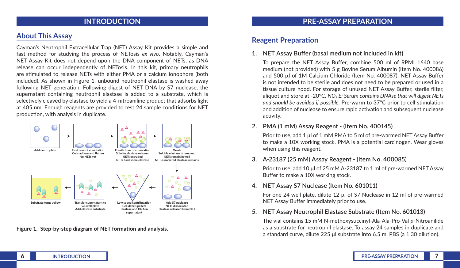### **INTRODUCTION**

## **About This Assay**

Cayman's Neutrophil Extracellular Trap (NET) Assay Kit provides a simple and fast method for studying the process of NETosis *ex vivo*. Notably, Cayman's NET Assay Kit does not depend upon the DNA component of NETs, as DNA release can occur independently of NETosis. In this kit, primary neutrophils are stimulated to release NETs with either PMA or a calcium ionophore (both included). As shown in Figure 1, unbound neutrophil elastase is washed away following NET generation. Following digest of NET DNA by S7 nuclease, the supernatant containing neutrophil elastase is added to a substrate, which is selectively cleaved by elastase to yield a 4-nitroaniline product that adsorbs light at 405 nm. Enough reagents are provided to test 24 sample conditions for NET production, with analysis in duplicate.



**Figure 1. Step-by-step diagram of NET formation and analysis.**

### **PRE-ASSAY PREPARATION**

### **Reagent Preparation**

**1. NET Assay Buffer (basal medium not included in kit)**

To prepare the NET Assay Buffer, combine 500 ml of RPMI 1640 base medium (not provided) with 5 g Bovine Serum Albumin (Item No. 400086) and 500 µl of 1M Calcium Chloride (Item No. 400087). NET Assay Buffer is not intended to be sterile and does not need to be prepared or used in a tissue culture hood. For storage of unused NET Assay Buffer, sterile filter, aliquot and store at -20°C. *NOTE: Serum contains DNAse that will digest NETs and should be avoided if possible.* **Pre-warm to 37°C** prior to cell stimulation and addition of nuclease to ensure rapid activation and subsequent nuclease activity.

#### **2. PMA (1 mM) Assay Reagent - (Item No. 400145)**

Prior to use, add 1 μl of 1 mM PMA to 5 ml of pre-warmed NET Assay Buffer to make a 10X working stock. PMA is a potential carcinogen. Wear gloves when using this reagent.

#### **3. A-23187 (25 mM) Assay Reagent - (Item No. 400085)**

Prior to use, add 10 µl of 25 mM A-23187 to 1 ml of pre-warmed NET Assay Buffer to make a 10X working stock.

#### **4. NET Assay S7 Nuclease (Item No. 601011)**

For one 24 well plate, dilute 12 μl of S7 Nuclease in 12 ml of pre-warmed NET Assay Buffer immediately prior to use.

**5. NET Assay Neutrophil Elastase Substrate (Item No. 601013)**

The vial contains 15 mM N-methoxysuccinyl-Ala-Ala-Pro-Val *p*-Nitroanilide as a substrate for neutrophil elastase. To assay 24 samples in duplicate and a standard curve, dilute 225 μl substrate into 6.5 ml PBS (a 1:30 dilution).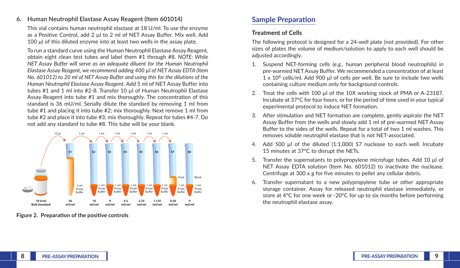#### **6. Human Neutrophil Elastase Assay Reagent (Item 601014)**

This vial contains human neutrophil elastase at 18 U/ml. To use the enzyme as a Positive Control, add 2 ul to 2 ml of NET Assay Buffer. Mix well. Add 100 µl of this diluted enzyme into at least two wells in the assay plate.

To run a standard curve using the Human Neutrophil Elastase Assay Reagent, obtain eight clean test tubes and label them #1 through #8. *NOTE: While NET Assay Buffer will serve as an adequate diluent for the Human Neutrophil Elastase Assay Reagent, we recommend adding 400 µl of NET Assay EDTA (Item No. 601012) to 20 ml of NET Assay Buffer and using this for the dilutions of the Human Neutrophil Elastase Assay Reagent.* Add 5 ml of NET Assay Buffer into tubes #1 and 1 ml into #2-8. Transfer 10 ul of Human Neutrophil Elastase Assay Reagent into tube #1 and mix thoroughly. The concentration of this standard is 36 mU/ml. Serially dilute the standard by removing 1 ml from tube #1 and placing it into tube #2; mix thoroughly. Next remove 1 ml from tube #2 and place it into tube #3; mix thoroughly. Repeat for tubes #4-7. Do not add any standard to tube #8. This tube will be your blank.



**Figure 2. Preparation of the positive controls**

## **Sample Preparation**

### **Treatment of Cells**

The following protocol is designed for a 24-well plate (not provided). For other sizes of plates the volume of medium/solution to apply to each well should be adjusted accordingly.

- 1. Suspend NET-forming cells (*e.g.*, human peripheral blood neutrophils) in pre-warmed NET Assay Buffer. We recommended a concentration of at least  $1 \times 10^6$  cells/ml. Add 900 µl of cells per well. Be sure to include two wells containing culture medium only for background controls.
- 2. Treat the cells with 100 µl of the 10X working stock of PMA or A-23187. Incubate at 37°C for four hours, or for the period of time used in your typical experimental protocol to induce NET formation.
- 3. After stimulation and NET formation are complete, gently aspirate the NET Assay Buffer from the wells and slowly add 1 ml of pre-warmed NET Assay Buffer to the sides of the wells. Repeat for a total of two 1 ml washes. This removes soluble neutrophil elastase that is not NET-associated.
- 4. Add 500 µl of the diluted (1:1,000) S7 nuclease to each well. Incubate 15 minutes at 37°C to disrupt the NETs.
- 5. Transfer the supernatants to polypropylene microfuge tubes. Add 10 µl of NET Assay EDTA solution (Item No. 601012) to inactivate the nuclease. Centrifuge at 300 x g for five minutes to pellet any cellular debris.
- 6. Transfer supernatant to a new polypropylene tube or other appropriate storage container. Assay for released neutrophil elastase immediately, or store at 4°C for one week or -20°C for up to six months before performing the neutrophil elastase assay.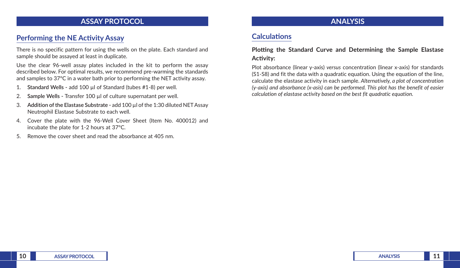### **ASSAY PROTOCOL**

## **Performing the NE Activity Assay**

There is no specific pattern for using the wells on the plate. Each standard and sample should be assayed at least in duplicate.

Use the clear 96-well assay plates included in the kit to perform the assay described below. For optimal results, we recommend pre-warming the standards and samples to 37°C in a water bath prior to performing the NET activity assay.

- 1. **Standard Wells -** add 100 µl of Standard (tubes #1-8) per well.
- 2. **Sample Wells -** Transfer 100 µl of culture supernatant per well.
- 3. **Addition of the Elastase Substrate -** add 100 µl of the 1:30 diluted NET Assay Neutrophil Elastase Substrate to each well.
- 4. Cover the plate with the 96-Well Cover Sheet (Item No. 400012) and incubate the plate for 1-2 hours at 37°C.
- 5. Remove the cover sheet and read the absorbance at 405 nm.

## **ANALYSIS**

## **Calculations**

### **Plotting the Standard Curve and Determining the Sample Elastase Activity:**

Plot absorbance (linear y-axis) *versus* concentration (linear x-axis) for standards (S1-S8) and fit the data with a quadratic equation. Using the equation of the line, calculate the elastase activity in each sample. *Alternatively, a plot of concentration (y-axis) and absorbance (x-asis) can be performed. This plot has the benefit of easier calculation of elastase activity based on the best fit quadratic equation.*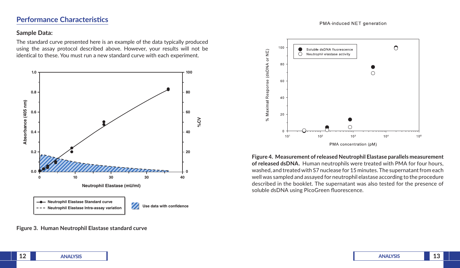### **Performance Characteristics**

#### PMA-induced NET generation

#### **Sample Data:**

The standard curve presented here is an example of the data typically produced using the assay protocol described above. However, your results will not be identical to these. You must run a new standard curve with each experiment.



**Figure 3. Human Neutrophil Elastase standard curve**



**Figure 4. Measurement of released Neutrophil Elastase parallels measurement of released dsDNA.** Human neutrophils were treated with PMA for four hours, washed, and treated with S7 nuclease for 15 minutes. The supernatant from each well was sampled and assayed for neutrophil elastase according to the procedure described in the booklet. The supernatant was also tested for the presence of soluble dsDNA using PicoGreen fluorescence.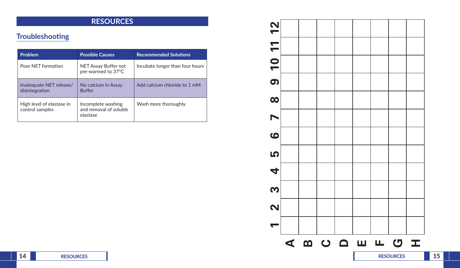## **RESOURCES**

# **Troubleshooting**

| <b>Problem</b>                               | <b>Possible Causes</b>                                   | <b>Recommended Solutions</b>    |
|----------------------------------------------|----------------------------------------------------------|---------------------------------|
| Poor NET formation                           | NET Assay Buffer not<br>pre-warmed to 37°C               | Incubate longer than four hours |
| Inadequate NET release/<br>disintegration    | No calcium in Assay<br><b>Buffer</b>                     | Add calcium chloride to 1 mM    |
| High level of elastase in<br>control samples | Incomplete washing<br>and removal of soluble<br>elastase | Wash more thoroughly            |